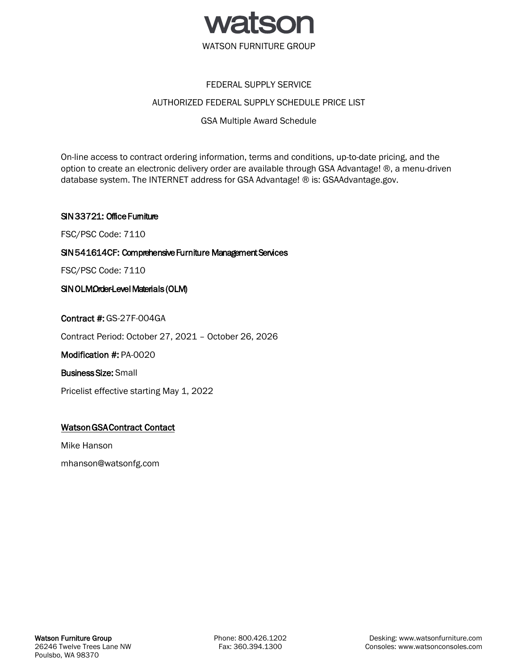

# FEDERAL SUPPLY SERVICE

# AUTHORIZED FEDERAL SUPPLY SCHEDULE PRICE LIST

# GSA Multiple Award Schedule

On-line access to contract ordering information, terms and conditions, up-to-date pricing, and the option to create an electronic delivery order are available through GSA Advantage! ®, a menu-driven database system. The INTERNET address for GSA Advantage! ® is: GSAAdvantage.gov.

# SIN 33721: Office Furniture

FSC/PSC Code: 7110

# SIN 541614CF: Comprehensive Furniture Management Services

FSC/PSC Code: 7110

# SIN OLMOrder-Level Materials (OLM)

Contract #: GS-27F-004GA

Contract Period: October 27, 2021 – October 26, 2026

Modification #: PA-0020

Business Size: Small

Pricelist effective starting May 1, 2022

# Watson GSA Contract Contact

Mike Hanson

mhanson@watsonfg.com